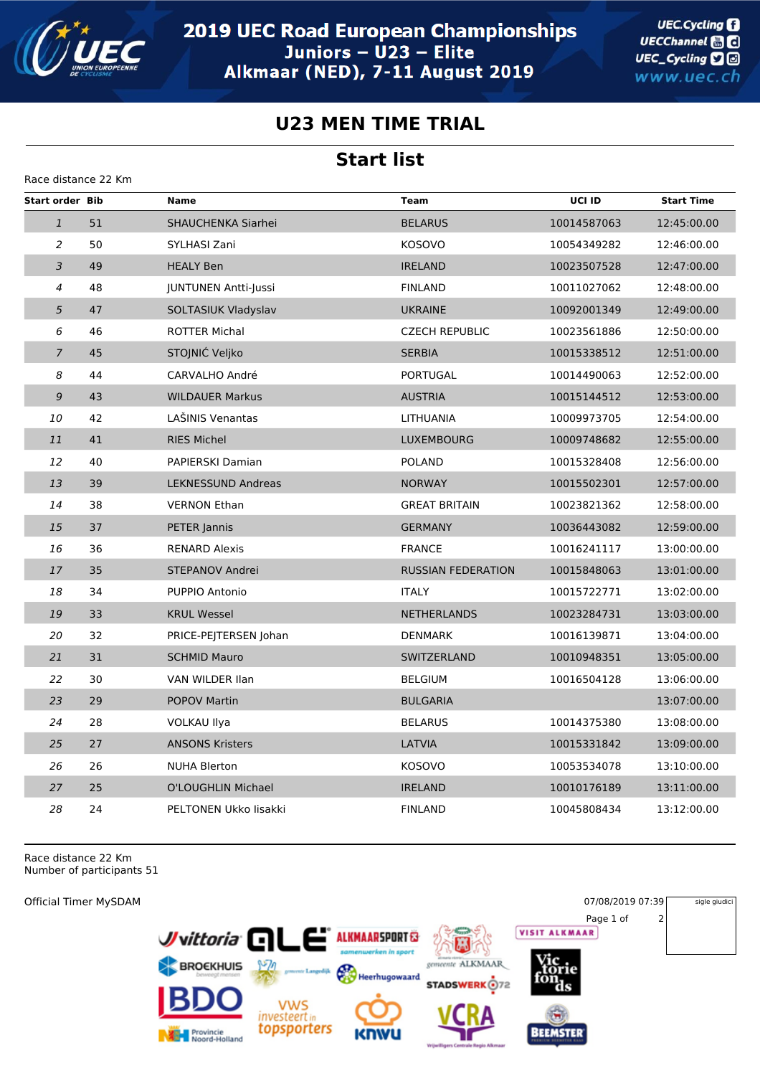

**UEC.Cycling** UECChannel **and** UEC\_Cycling **D** www.uec.ch

## **U23 MEN TIME TRIAL**

## **Start list**

| Race distance 22 Km    |    |                             |                           |             |                   |  |  |  |  |  |
|------------------------|----|-----------------------------|---------------------------|-------------|-------------------|--|--|--|--|--|
| <b>Start order Bib</b> |    | <b>Name</b>                 | <b>Team</b>               | UCI ID      | <b>Start Time</b> |  |  |  |  |  |
| $\mathbf{1}$           | 51 | SHAUCHENKA Siarhei          | <b>BELARUS</b>            | 10014587063 | 12:45:00.00       |  |  |  |  |  |
| 2                      | 50 | SYLHASI Zani                | <b>KOSOVO</b>             | 10054349282 | 12:46:00.00       |  |  |  |  |  |
| $\overline{3}$         | 49 | <b>HEALY Ben</b>            | <b>IRELAND</b>            | 10023507528 | 12:47:00.00       |  |  |  |  |  |
| $\overline{4}$         | 48 | <b>JUNTUNEN Antti-Jussi</b> | <b>FINLAND</b>            | 10011027062 | 12:48:00.00       |  |  |  |  |  |
| 5                      | 47 | SOLTASIUK Vladyslav         | <b>UKRAINE</b>            | 10092001349 | 12:49:00.00       |  |  |  |  |  |
| 6                      | 46 | <b>ROTTER Michal</b>        | <b>CZECH REPUBLIC</b>     | 10023561886 | 12:50:00.00       |  |  |  |  |  |
| $\overline{7}$         | 45 | STOJNIĆ Veljko              | <b>SERBIA</b>             | 10015338512 | 12:51:00.00       |  |  |  |  |  |
| 8                      | 44 | CARVALHO André              | <b>PORTUGAL</b>           | 10014490063 | 12:52:00.00       |  |  |  |  |  |
| $\mathfrak{g}$         | 43 | <b>WILDAUER Markus</b>      | <b>AUSTRIA</b>            | 10015144512 | 12:53:00.00       |  |  |  |  |  |
| 10                     | 42 | LASINIS Venantas            | LITHUANIA                 | 10009973705 | 12:54:00.00       |  |  |  |  |  |
| 11                     | 41 | <b>RIES Michel</b>          | <b>LUXEMBOURG</b>         | 10009748682 | 12:55:00.00       |  |  |  |  |  |
| 12                     | 40 | <b>PAPIERSKI Damian</b>     | <b>POLAND</b>             | 10015328408 | 12:56:00.00       |  |  |  |  |  |
| 13                     | 39 | <b>LEKNESSUND Andreas</b>   | <b>NORWAY</b>             | 10015502301 | 12:57:00.00       |  |  |  |  |  |
| 14                     | 38 | <b>VERNON Ethan</b>         | <b>GREAT BRITAIN</b>      | 10023821362 | 12:58:00.00       |  |  |  |  |  |
| 15                     | 37 | PETER Jannis                | <b>GERMANY</b>            | 10036443082 | 12:59:00.00       |  |  |  |  |  |
| 16                     | 36 | <b>RENARD Alexis</b>        | <b>FRANCE</b>             | 10016241117 | 13:00:00.00       |  |  |  |  |  |
| 17                     | 35 | STEPANOV Andrei             | <b>RUSSIAN FEDERATION</b> | 10015848063 | 13:01:00.00       |  |  |  |  |  |
| 18                     | 34 | PUPPIO Antonio              | <b>ITALY</b>              | 10015722771 | 13:02:00.00       |  |  |  |  |  |
| 19                     | 33 | <b>KRUL Wessel</b>          | <b>NETHERLANDS</b>        | 10023284731 | 13:03:00.00       |  |  |  |  |  |
| 20                     | 32 | PRICE-PEJTERSEN Johan       | <b>DENMARK</b>            | 10016139871 | 13:04:00.00       |  |  |  |  |  |
| 21                     | 31 | <b>SCHMID Mauro</b>         | <b>SWITZERLAND</b>        | 10010948351 | 13:05:00.00       |  |  |  |  |  |
| 22                     | 30 | VAN WILDER Ilan             | <b>BELGIUM</b>            | 10016504128 | 13:06:00.00       |  |  |  |  |  |
| 23                     | 29 | <b>POPOV Martin</b>         | <b>BULGARIA</b>           |             | 13:07:00.00       |  |  |  |  |  |
| 24                     | 28 | <b>VOLKAU Ilya</b>          | <b>BELARUS</b>            | 10014375380 | 13:08:00.00       |  |  |  |  |  |
| 25                     | 27 | <b>ANSONS Kristers</b>      | LATVIA                    | 10015331842 | 13:09:00.00       |  |  |  |  |  |
| 26                     | 26 | <b>NUHA Blerton</b>         | <b>KOSOVO</b>             | 10053534078 | 13:10:00.00       |  |  |  |  |  |
| 27                     | 25 | O'LOUGHLIN Michael          | <b>IRELAND</b>            | 10010176189 | 13:11:00.00       |  |  |  |  |  |
| 28                     | 24 | PELTONEN Ukko lisakki       | <b>FINLAND</b>            | 10045808434 | 13:12:00.00       |  |  |  |  |  |

Race distance 22 Km Number of participants 51